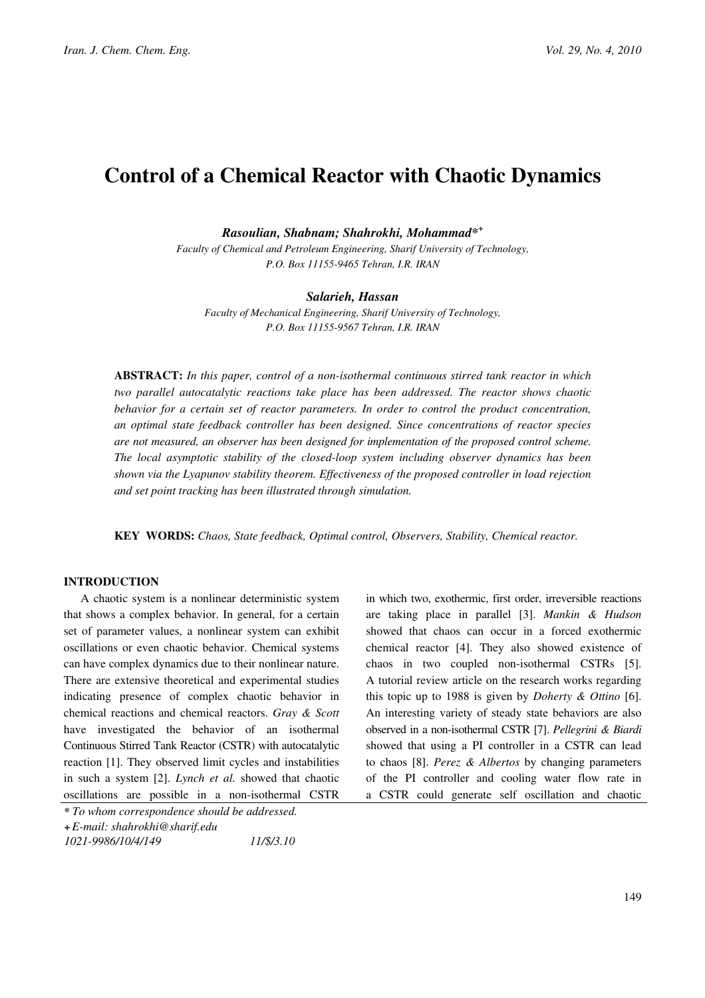# Control of a Chemical Reactor with Chaotic Dynamics

Rasoulian, Shabnam; Shahrokhi, Mohammad\*<sup>+</sup>

Faculty of Chemical and Petroleum Engineering, Sharif University of Technology, P.O. Box 11155-9465 Tehran, I.R. IRAN

#### Salarieh, Hassan

Faculty of Mechanical Engineering, Sharif University of Technology, P.O. Box 11155-9567 Tehran, I.R. IRAN

ABSTRACT: In this paper, control of a non-isothermal continuous stirred tank reactor in which two parallel autocatalytic reactions take place has been addressed. The reactor shows chaotic behavior for a certain set of reactor parameters. In order to control the product concentration, an optimal state feedback controller has been designed. Since concentrations of reactor species are not measured, an observer has been designed for implementation of the proposed control scheme. The local asymptotic stability of the closed-loop system including observer dynamics has been shown via the Lyapunov stability theorem. Effectiveness of the proposed controller in load rejection and set point tracking has been illustrated through simulation.

KEY WORDS: Chaos, State feedback, Optimal control, Observers, Stability, Chemical reactor.

## INTRODUCTION

A chaotic system is a nonlinear deterministic system that shows a complex behavior. In general, for a certain set of parameter values, a nonlinear system can exhibit oscillations or even chaotic behavior. Chemical systems can have complex dynamics due to their nonlinear nature. There are extensive theoretical and experimental studies indicating presence of complex chaotic behavior in chemical reactions and chemical reactors. Gray & Scott have investigated the behavior of an isothermal Continuous Stirred Tank Reactor (CSTR) with autocatalytic reaction [1]. They observed limit cycles and instabilities in such a system [2]. Lynch et al. showed that chaotic oscillations are possible in a non-isothermal CSTR

showed that chaos can occur in a forced exothermic chemical reactor [4]. They also showed existence of chaos in two coupled non-isothermal CSTRs [5]. A tutorial review article on the research works regarding this topic up to 1988 is given by Doherty & Ottino [6]. An interesting variety of steady state behaviors are also observed in a non-isothermal CSTR [7]. Pellegrini & Biardi showed that using a PI controller in a CSTR can lead to chaos [8]. Perez & Albertos by changing parameters of the PI controller and cooling water flow rate in a CSTR could generate self oscillation and chaotic

in which two, exothermic, first order, irreversible reactions are taking place in parallel [3]. Mankin & Hudson

<sup>\*</sup> To whom correspondence should be addressed. +E-mail: shahrokhi@sharif.edu 1021-9986/10/4/149 11/\$/3.10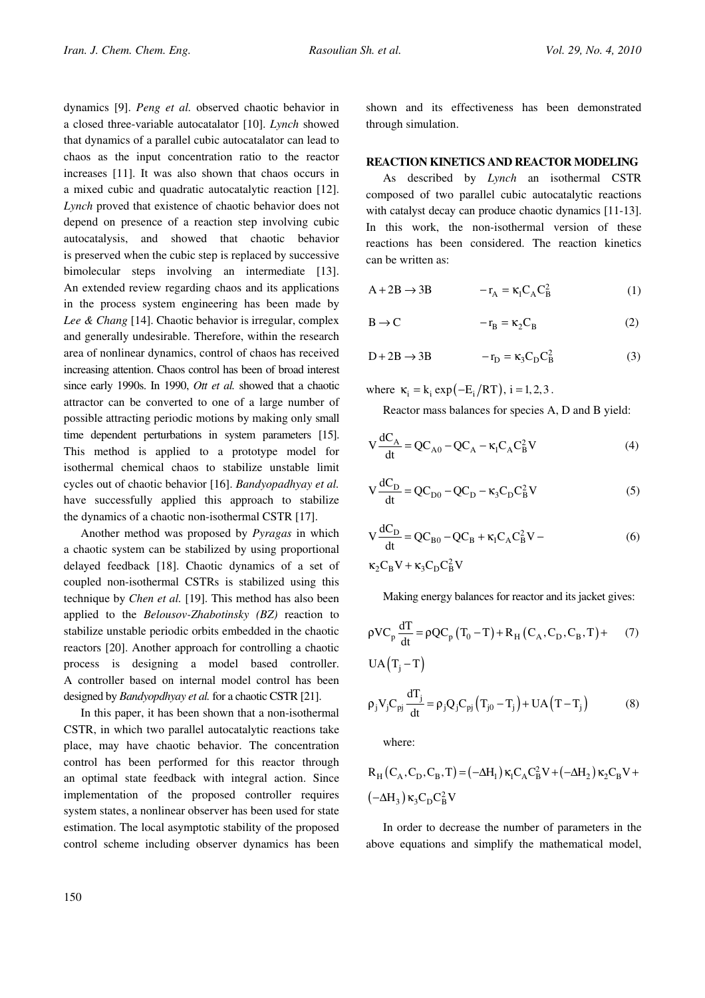dynamics [9]. Peng et al. observed chaotic behavior in a closed three-variable autocatalator [10]. Lynch showed that dynamics of a parallel cubic autocatalator can lead to chaos as the input concentration ratio to the reactor increases [11]. It was also shown that chaos occurs in a mixed cubic and quadratic autocatalytic reaction [12]. Lynch proved that existence of chaotic behavior does not depend on presence of a reaction step involving cubic autocatalysis, and showed that chaotic behavior is preserved when the cubic step is replaced by successive bimolecular steps involving an intermediate [13]. An extended review regarding chaos and its applications in the process system engineering has been made by Lee & Chang [14]. Chaotic behavior is irregular, complex and generally undesirable. Therefore, within the research area of nonlinear dynamics, control of chaos has received increasing attention. Chaos control has been of broad interest since early 1990s. In 1990, *Ott et al.* showed that a chaotic attractor can be converted to one of a large number of possible attracting periodic motions by making only small time dependent perturbations in system parameters [15]. This method is applied to a prototype model for isothermal chemical chaos to stabilize unstable limit cycles out of chaotic behavior [16]. Bandyopadhyay et al. have successfully applied this approach to stabilize the dynamics of a chaotic non-isothermal CSTR [17].

Another method was proposed by Pyragas in which a chaotic system can be stabilized by using proportional delayed feedback [18]. Chaotic dynamics of a set of coupled non-isothermal CSTRs is stabilized using this technique by Chen et al. [19]. This method has also been applied to the Belousov-Zhabotinsky (BZ) reaction to stabilize unstable periodic orbits embedded in the chaotic reactors [20]. Another approach for controlling a chaotic process is designing a model based controller. A controller based on internal model control has been designed by *Bandyopdhyay et al.* for a chaotic CSTR [21].

In this paper, it has been shown that a non-isothermal CSTR, in which two parallel autocatalytic reactions take place, may have chaotic behavior. The concentration control has been performed for this reactor through an optimal state feedback with integral action. Since implementation of the proposed controller requires system states, a nonlinear observer has been used for state estimation. The local asymptotic stability of the proposed control scheme including observer dynamics has been shown and its effectiveness has been demonstrated through simulation.

### REACTION KINETICS AND REACTOR MODELING

As described by Lynch an isothermal CSTR composed of two parallel cubic autocatalytic reactions with catalyst decay can produce chaotic dynamics [11-13]. In this work, the non-isothermal version of these reactions has been considered. The reaction kinetics can be written as:

$$
A + 2B \rightarrow 3B \qquad \qquad -r_A = \kappa_1 C_A C_B^2 \tag{1}
$$

$$
B \to C \qquad \qquad -r_B = \kappa_2 C_B \tag{2}
$$

$$
D + 2B \rightarrow 3B \qquad \qquad -r_D = \kappa_3 C_D C_B^2 \tag{3}
$$

where  $\kappa_i = k_i \exp(-E_i/RT)$ , i = 1, 2,3.

Reactor mass balances for species A, D and B yield:

$$
V\frac{dC_A}{dt} = QC_{A0} - QC_A - \kappa_1 C_A C_B^2 V
$$
 (4)

$$
V \frac{dC_D}{dt} = QC_{D0} - QC_D - \kappa_3 C_D C_B^2 V \tag{5}
$$

$$
V \frac{dC_D}{dt} = QC_{B0} - QC_B + \kappa_1 C_A C_B^2 V -
$$
  
\n
$$
\kappa_2 C_B V + \kappa_3 C_D C_B^2 V
$$
 (6)

Making energy balances for reactor and its jacket gives:

$$
\rho V C_p \frac{dT}{dt} = \rho Q C_p (T_0 - T) + R_H (C_A, C_D, C_B, T) +
$$
  
UA (T<sub>j</sub> - T) (7)

$$
\rho_j V_j C_{pj} \frac{dT_j}{dt} = \rho_j Q_j C_{pj} (T_{j0} - T_j) + UA (T - T_j)
$$
 (8)

where:

$$
R_{H}(C_A, C_D, C_B, T) = (-\Delta H_1) \kappa_1 C_A C_B^2 V + (-\Delta H_2) \kappa_2 C_B V + (-\Delta H_3) \kappa_3 C_D C_B^2 V
$$

In order to decrease the number of parameters in the above equations and simplify the mathematical model,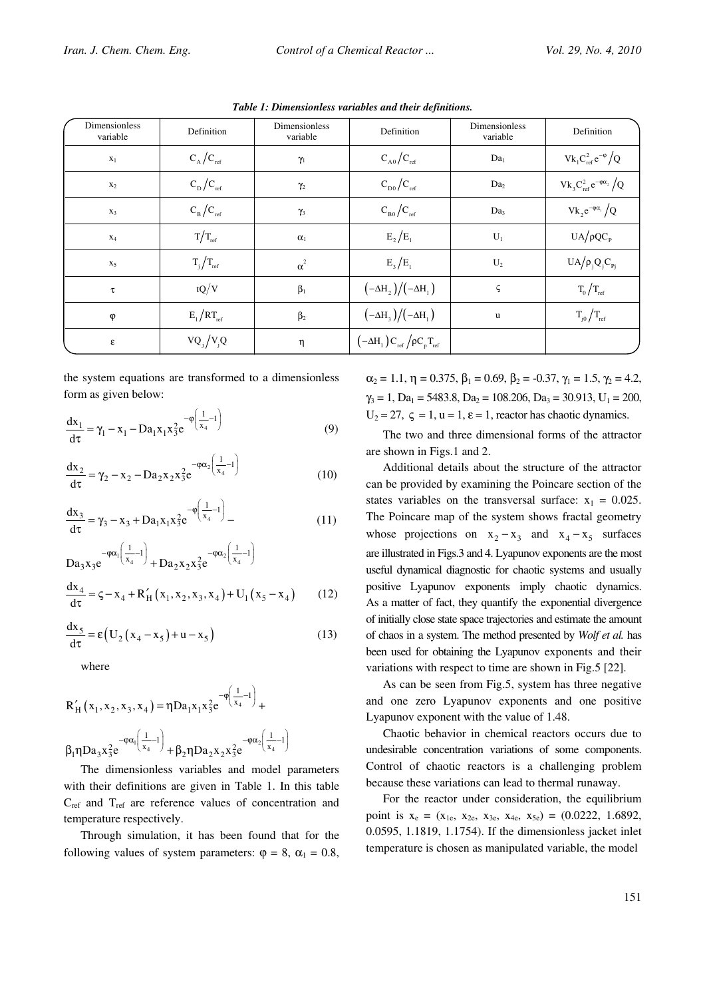| Dimensionless<br>variable | Definition              | Dimensionless<br>variable | Definition                                            | <b>Dimensionless</b><br>variable | Definition                            |
|---------------------------|-------------------------|---------------------------|-------------------------------------------------------|----------------------------------|---------------------------------------|
| $\mathbf{x}_1$            | $C_A/C_{ref}$           | $\gamma_1$                | $C_{A0}/C_{ref}$                                      | Da <sub>1</sub>                  | $\rm{Vk}_1C_{ref}^2\,e^{-\varphi}/Q$  |
| $x_2$                     | $C_{D}/C_{ref}$         | $\gamma_2$                | $C_{D0}/C_{ref}$                                      | Da <sub>2</sub>                  | $Vk_3C_{ref}^2e^{-\varphi\alpha_2}/Q$ |
| $X_3$                     | $C_{\rm B}/C_{\rm ref}$ | $\gamma_3$                | $C_{B0}/C_{ref}$                                      | Da <sub>3</sub>                  | $Vk_2e^{-\varphi\alpha_1}/Q$          |
| $X_4$                     | $T/T_{ref}$             | $\alpha_1$                | $E_2/E_1$                                             | $U_1$                            | $UA/\rho QC_{P}$                      |
| $X_5$                     | $T_j/T_{ref}$           | $\alpha^2$                | $E_3/E_1$                                             | $U_2$                            | $UA/\rho_j Q_j C_{Pj}$                |
| τ                         | tQ/V                    | $\beta_1$                 | $(-\Delta H_2)/(-\Delta H_1)$                         | ς                                | $T_0/T_{ref}$                         |
| $\varphi$                 | $E_1/RT_{ref}$          | $\beta_2$                 | $(-\Delta H_3)/(-\Delta H_1)$                         | $\mathbf u$                      | $T_{j0}/T_{ref}$                      |
| $\boldsymbol{\epsilon}$   | $VQ_i/V_iQ$             | η                         | $\left(-\Delta H_{1}\right)C_{ref}/\rho C_{p}T_{ref}$ |                                  |                                       |

Table 1: Dimensionless variables and their definitions.

the system equations are transformed to a dimensionless form as given below:

$$
\frac{dx_1}{d\tau} = \gamma_1 - x_1 - Da_1 x_1 x_3^2 e^{-\varphi\left(\frac{1}{x_4} - 1\right)}
$$
(9)

$$
\frac{dx_2}{d\tau} = \gamma_2 - x_2 - Da_2x_2x_3^2e^{-\varphi\alpha_2\left(\frac{1}{x_4} - 1\right)}
$$
(10)

$$
\frac{dx_3}{d\tau} = \gamma_3 - x_3 + Da_1 x_1 x_3^2 e^{-\phi \left(\frac{1}{x_4} - 1\right)} - \tag{11}
$$

$$
Da_{3}x_{3}e^{-\varphi\alpha_{1}\left(\frac{1}{x_{4}}-1\right)} + Da_{2}x_{2}x_{3}^{2}e^{-\varphi\alpha_{2}\left(\frac{1}{x_{4}}-1\right)}
$$
  

$$
\frac{dx_{4}}{d\tau} = \zeta - x_{4} + R'_{H}\left(x_{1}, x_{2}, x_{3}, x_{4}\right) + U_{1}\left(x_{5} - x_{4}\right)
$$
(12)

$$
\frac{dx_5}{d\tau} = \varepsilon \left( U_2 \left( x_4 - x_5 \right) + u - x_5 \right) \tag{13}
$$

where

$$
R'_{H}(x_1, x_2, x_3, x_4) = \eta D a_1 x_1 x_3^2 e^{-\varphi\left(\frac{1}{x_4} - 1\right)} +
$$
  

$$
\beta_1 \eta D a_3 x_3^2 e^{-\varphi\alpha_1\left(\frac{1}{x_4} - 1\right)} + \beta_2 \eta D a_2 x_2 x_3^2 e^{-\varphi\alpha_2\left(\frac{1}{x_4} - 1\right)}
$$

The dimensionless variables and model parameters with their definitions are given in Table 1. In this table  $C_{ref}$  and  $T_{ref}$  are reference values of concentration and temperature respectively.

Through simulation, it has been found that for the following values of system parameters:  $\varphi = 8$ ,  $\alpha_1 = 0.8$ ,  $\alpha_2 = 1.1$ ,  $\eta = 0.375$ ,  $\beta_1 = 0.69$ ,  $\beta_2 = -0.37$ ,  $\gamma_1 = 1.5$ ,  $\gamma_2 = 4.2$ ,  $\gamma_3 = 1$ , Da<sub>1</sub> = 5483.8, Da<sub>2</sub> = 108.206, Da<sub>3</sub> = 30.913, U<sub>1</sub> = 200,  $U_2 = 27$ ,  $\zeta = 1$ ,  $u = 1$ ,  $\varepsilon = 1$ , reactor has chaotic dynamics.

The two and three dimensional forms of the attractor are shown in Figs.1 and 2.

Additional details about the structure of the attractor can be provided by examining the Poincare section of the states variables on the transversal surface:  $x_1 = 0.025$ . The Poincare map of the system shows fractal geometry whose projections on  $x_2 - x_3$  and  $x_4 - x_5$  surfaces are illustrated in Figs.3 and 4. Lyapunov exponents are the most useful dynamical diagnostic for chaotic systems and usually positive Lyapunov exponents imply chaotic dynamics. As a matter of fact, they quantify the exponential divergence of initially close state space trajectories and estimate the amount of chaos in a system. The method presented by Wolf et al. has been used for obtaining the Lyapunov exponents and their variations with respect to time are shown in Fig.5 [22].

As can be seen from Fig.5, system has three negative and one zero Lyapunov exponents and one positive Lyapunov exponent with the value of 1.48.

Chaotic behavior in chemical reactors occurs due to undesirable concentration variations of some components. Control of chaotic reactors is a challenging problem because these variations can lead to thermal runaway.

For the reactor under consideration, the equilibrium point is  $x_e = (x_{1e}, x_{2e}, x_{3e}, x_{4e}, x_{5e}) = (0.0222, 1.6892,$ 0.0595, 1.1819, 1.1754). If the dimensionless jacket inlet temperature is chosen as manipulated variable, the model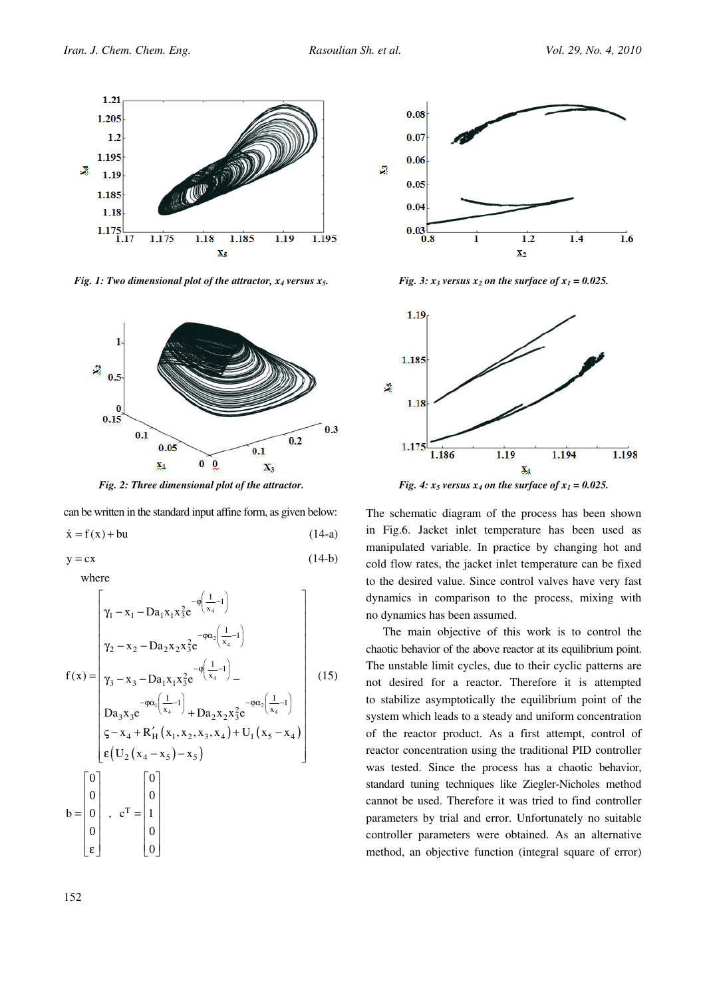

Fig. 1: Two dimensional plot of the attractor,  $x_4$  versus  $x_5$ .



Fig. 2: Three dimensional plot of the attractor.

can be written in the standard input affine form, as given below:

$$
\dot{x} = f(x) + bu \tag{14-a}
$$

$$
y = cx \tag{14-b}
$$

where

$$
f(x) = \begin{bmatrix} \gamma_1 - x_1 - Da_1 x_1 x_3^2 e^{-\varphi\left(\frac{1}{x_4} - 1\right)} \\ \gamma_2 - x_2 - Da_2 x_2 x_3^2 e^{-\varphi\alpha_2\left(\frac{1}{x_4} - 1\right)} \\ \gamma_3 - x_3 - Da_1 x_1 x_3^2 e^{-\varphi\left(\frac{1}{x_4} - 1\right)} - \\ Da_3 x_3 e^{-\varphi\alpha_1\left(\frac{1}{x_4} - 1\right)} + Da_2 x_2 x_3^2 e^{-\varphi\alpha_2\left(\frac{1}{x_4} - 1\right)} \\ \varsigma - x_4 + R_H'(x_1, x_2, x_3, x_4) + U_1(x_5 - x_4) \\ \varepsilon (U_2(x_4 - x_5) - x_5) \end{bmatrix}
$$
\n
$$
b = \begin{bmatrix} 0 \\ 0 \\ 0 \\ 0 \\ 0 \end{bmatrix}, \quad c^T = \begin{bmatrix} 0 \\ 1 \\ 1 \\ 0 \\ 0 \end{bmatrix}
$$
\n(15)



Fig. 3:  $x_3$  versus  $x_2$  on the surface of  $x_1 = 0.025$ .



Fig. 4:  $x_5$  versus  $x_4$  on the surface of  $x_1 = 0.025$ .

The schematic diagram of the process has been shown in Fig.6. Jacket inlet temperature has been used as manipulated variable. In practice by changing hot and cold flow rates, the jacket inlet temperature can be fixed to the desired value. Since control valves have very fast dynamics in comparison to the process, mixing with no dynamics has been assumed.

The main objective of this work is to control the chaotic behavior of the above reactor at its equilibrium point. The unstable limit cycles, due to their cyclic patterns are not desired for a reactor. Therefore it is attempted to stabilize asymptotically the equilibrium point of the system which leads to a steady and uniform concentration of the reactor product. As a first attempt, control of reactor concentration using the traditional PID controller was tested. Since the process has a chaotic behavior, standard tuning techniques like Ziegler-Nicholes method cannot be used. Therefore it was tried to find controller parameters by trial and error. Unfortunately no suitable controller parameters were obtained. As an alternative method, an objective function (integral square of error)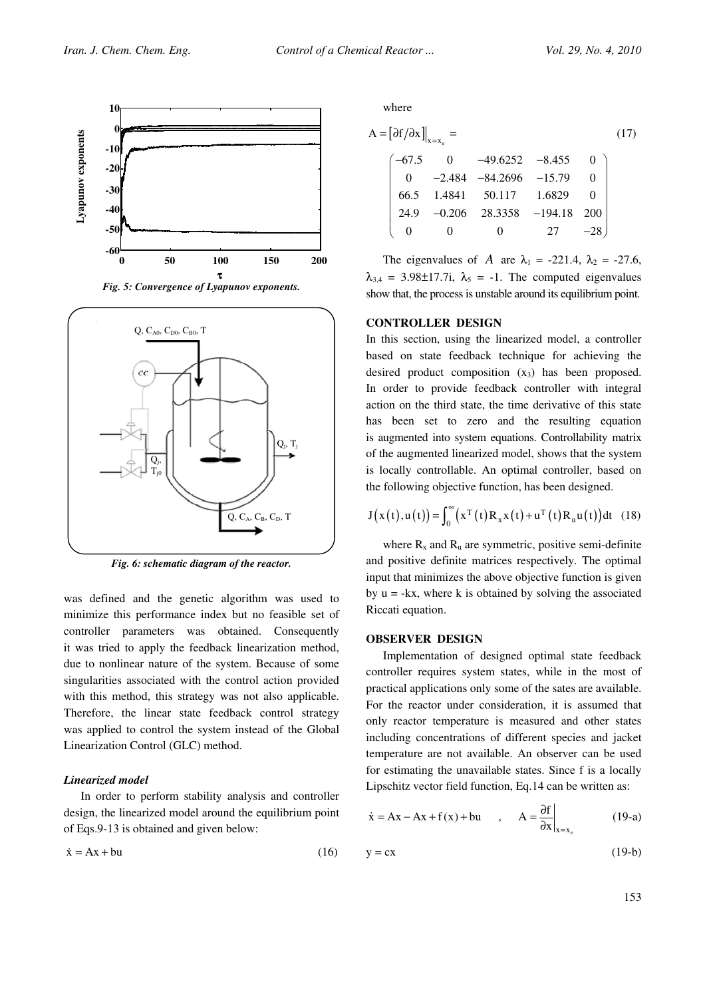





Fig. 6: schematic diagram of the reactor.

was defined and the genetic algorithm was used to minimize this performance index but no feasible set of controller parameters was obtained. Consequently it was tried to apply the feedback linearization method, due to nonlinear nature of the system. Because of some singularities associated with the control action provided with this method, this strategy was not also applicable. Therefore, the linear state feedback control strategy was applied to control the system instead of the Global Linearization Control (GLC) method.

#### Linearized model

In order to perform stability analysis and controller design, the linearized model around the equilibrium point of Eqs.9-13 is obtained and given below:

$$
\dot{x} = Ax + bu \tag{16}
$$

where

$$
A = [\partial f / \partial x]_{x=x_e} = \tag{17}
$$
\n
$$
\begin{bmatrix}\n-67.5 & 0 & -49.6252 & -8.455 & 0 \\
0 & -2.484 & -84.2696 & -15.79 & 0 \\
66.5 & 1.4841 & 50.117 & 1.6829 & 0 \\
24.9 & -0.206 & 28.3358 & -194.18 & 200 \\
0 & 0 & 0 & 27 & -28\n\end{bmatrix}
$$

The eigenvalues of A are  $\lambda_1 = -221.4$ ,  $\lambda_2 = -27.6$ ,  $\lambda_{3,4} = 3.98 \pm 17.7i$ ,  $\lambda_5 = -1$ . The computed eigenvalues show that, the process is unstable around its equilibrium point.

### CONTROLLER DESIGN

In this section, using the linearized model, a controller based on state feedback technique for achieving the desired product composition  $(x_3)$  has been proposed. In order to provide feedback controller with integral action on the third state, the time derivative of this state has been set to zero and the resulting equation is augmented into system equations. Controllability matrix of the augmented linearized model, shows that the system is locally controllable. An optimal controller, based on the following objective function, has been designed.

$$
J(x(t),u(t)) = \int_0^\infty (x^T(t)R_x x(t) + u^T(t)R_u u(t))dt
$$
 (18)

where  $R_x$  and  $R_u$  are symmetric, positive semi-definite and positive definite matrices respectively. The optimal input that minimizes the above objective function is given by  $u = -kx$ , where k is obtained by solving the associated Riccati equation.

#### OBSERVER DESIGN

Implementation of designed optimal state feedback controller requires system states, while in the most of practical applications only some of the sates are available. For the reactor under consideration, it is assumed that only reactor temperature is measured and other states including concentrations of different species and jacket temperature are not available. An observer can be used for estimating the unavailable states. Since f is a locally Lipschitz vector field function, Eq.14 can be written as:

$$
\dot{x} = Ax - Ax + f(x) + bu
$$
,  $A = \frac{\partial f}{\partial x}\Big|_{x = x_e}$  (19-a)

$$
y = cx \tag{19-b}
$$

153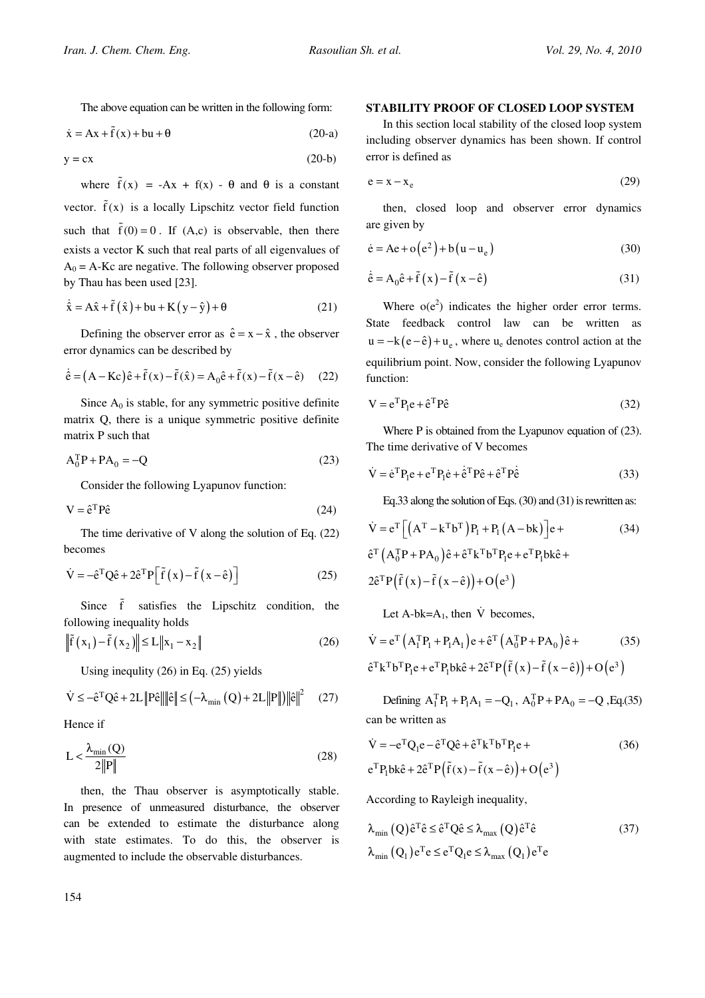The above equation can be written in the following form:

$$
\dot{x} = Ax + \tilde{f}(x) + bu + \theta \tag{20-a}
$$

$$
y = cx \tag{20-b}
$$

where  $\tilde{f}(x) = -Ax + f(x) - \theta$  and  $\theta$  is a constant vector.  $\tilde{f}(x)$  is a locally Lipschitz vector field function such that  $\tilde{f}(0) = 0$ . If  $(A, c)$  is observable, then there exists a vector K such that real parts of all eigenvalues of  $A_0 = A-Kc$  are negative. The following observer proposed by Thau has been used [23].

$$
\dot{\hat{x}} = A\hat{x} + \tilde{f}(\hat{x}) + bu + K(y - \hat{y}) + \theta
$$
 (21)

Defining the observer error as  $\hat{e} = x - \hat{x}$ , the observer error dynamics can be described by

$$
\dot{\hat{e}} = (A - Kc)\hat{e} + \tilde{f}(x) - \tilde{f}(\hat{x}) = A_0\hat{e} + \tilde{f}(x) - \tilde{f}(x - \hat{e}) \quad (22)
$$

Since  $A_0$  is stable, for any symmetric positive definite matrix Q, there is a unique symmetric positive definite matrix P such that

$$
A_0^T P + P A_0 = -Q \tag{23}
$$

Consider the following Lyapunov function:

$$
V = \hat{e}^T P \hat{e}
$$
 (24)

The time derivative of V along the solution of Eq. (22) becomes

$$
\dot{\mathbf{V}} = -\hat{\mathbf{e}}^{\mathrm{T}} \mathbf{Q} \hat{\mathbf{e}} + 2\hat{\mathbf{e}}^{\mathrm{T}} \mathbf{P} \Big[ \tilde{\mathbf{f}} \left( \mathbf{x} \right) - \tilde{\mathbf{f}} \left( \mathbf{x} - \hat{\mathbf{e}} \right) \Big] \tag{25}
$$

Since  $\tilde{f}$  satisfies the Lipschitz condition, the following inequality holds

$$
\left\| \tilde{f}\left(x_1\right) - \tilde{f}\left(x_2\right) \right\| \le L \left\| x_1 - x_2 \right\| \tag{26}
$$

Using inequlity (26) in Eq. (25) yields

$$
\dot{V} \le -\hat{e}^{\mathrm{T}}Q\hat{e} + 2L\left\|P\hat{e}\right\|\left\|\hat{e}\right\| \le \left(-\lambda_{\min}\left(Q\right) + 2L\left\|P\right\|\right)\left\|\hat{e}\right\|^2 \tag{27}
$$

Hence if

$$
L < \frac{\lambda_{\min}(Q)}{2\|P\|} \tag{28}
$$

then, the Thau observer is asymptotically stable. In presence of unmeasured disturbance, the observer can be extended to estimate the disturbance along with state estimates. To do this, the observer is augmented to include the observable disturbances.

### STABILITY PROOF OF CLOSED LOOP SYSTEM

In this section local stability of the closed loop system including observer dynamics has been shown. If control error is defined as

$$
e = x - x_e \tag{29}
$$

then, closed loop and observer error dynamics are given by

$$
\dot{e} = Ae + o(e^2) + b(u - u_e)
$$
 (30)

$$
\dot{\hat{e}} = A_0 \hat{e} + \tilde{f}(x) - \tilde{f}(x - \hat{e})
$$
\n(31)

Where  $o(e^2)$  indicates the higher order error terms. State feedback control law can be written as  $u = -k(e - \hat{e}) + u_e$ , where  $u_e$  denotes control action at the equilibrium point. Now, consider the following Lyapunov function:

$$
V = e^{T}P_{1}e + \hat{e}^{T}P\hat{e}
$$
 (32)

Where P is obtained from the Lyapunov equation of (23). The time derivative of V becomes

$$
\dot{V} = \dot{e}^{\mathrm{T}} P_{\mathrm{I}} e + e^{\mathrm{T}} P_{\mathrm{I}} \dot{e} + \dot{e}^{\mathrm{T}} P \hat{e} + \hat{e}^{\mathrm{T}} P \dot{e}
$$
\n(33)

Eq.33 along the solution of Eqs. (30) and (31) is rewritten as:

$$
\dot{V} = e^{T} \left[ \left( A^{T} - k^{T} b^{T} \right) P_{1} + P_{1} \left( A - bk \right) \right] e +
$$
\n
$$
\hat{e}^{T} \left( A_{0}^{T} P + PA_{0} \right) \hat{e} + \hat{e}^{T} k^{T} b^{T} P_{1} e + e^{T} P_{1} bk \hat{e} +
$$
\n
$$
2 \hat{e}^{T} P \left( \tilde{f} \left( x \right) - \tilde{f} \left( x - \hat{e} \right) \right) + O \left( e^{3} \right)
$$
\n(34)

Let A-bk= $A_1$ , then  $\dot{V}$  becomes,

$$
\dot{\mathbf{V}} = \mathbf{e}^{\mathrm{T}} \left( \mathbf{A}_{1}^{\mathrm{T}} \mathbf{P}_{1} + \mathbf{P}_{1} \mathbf{A}_{1} \right) \mathbf{e} + \hat{\mathbf{e}}^{\mathrm{T}} \left( \mathbf{A}_{0}^{\mathrm{T}} \mathbf{P} + \mathbf{P} \mathbf{A}_{0} \right) \hat{\mathbf{e}} +
$$
\n(35)\n
$$
\hat{\mathbf{e}}^{\mathrm{T}} \mathbf{k}^{\mathrm{T}} \mathbf{b}^{\mathrm{T}} \mathbf{P}_{1} \mathbf{e} + \mathbf{e}^{\mathrm{T}} \mathbf{P}_{1} \mathbf{b} \mathbf{k} \hat{\mathbf{e}} + 2 \hat{\mathbf{e}}^{\mathrm{T}} \mathbf{P} \left( \tilde{\mathbf{f}} \left( \mathbf{x} \right) - \tilde{\mathbf{f}} \left( \mathbf{x} - \hat{\mathbf{e}} \right) \right) + \mathbf{O} \left( \mathbf{e}^{3} \right)
$$

Defining  $A_1^T P_1 + P_1 A_1 = -Q_1$ ,  $A_0^T P + P A_0 = -Q$ , Eq.(35) can be written as

$$
\dot{\mathbf{V}} = -\mathbf{e}^{\mathrm{T}} \mathbf{Q}_1 \mathbf{e} - \hat{\mathbf{e}}^{\mathrm{T}} \mathbf{Q} \hat{\mathbf{e}} + \hat{\mathbf{e}}^{\mathrm{T}} \mathbf{k}^{\mathrm{T}} \mathbf{b}^{\mathrm{T}} \mathbf{P}_1 \mathbf{e} +
$$
\n
$$
\mathbf{e}^{\mathrm{T}} \mathbf{P}_1 \mathbf{b} \mathbf{k} \hat{\mathbf{e}} + 2 \hat{\mathbf{e}}^{\mathrm{T}} \mathbf{P} \left( \tilde{\mathbf{f}} \left( \mathbf{x} \right) - \tilde{\mathbf{f}} \left( \mathbf{x} - \hat{\mathbf{e}} \right) \right) + \mathbf{O} \left( \mathbf{e}^3 \right)
$$
\n(36)

According to Rayleigh inequality,

$$
\lambda_{\min} (Q) \hat{e}^T \hat{e} \le \hat{e}^T Q \hat{e} \le \lambda_{\max} (Q) \hat{e}^T \hat{e}
$$
\n
$$
\lambda_{\min} (Q_1) e^T e \le e^T Q_1 e \le \lambda_{\max} (Q_1) e^T e
$$
\n(37)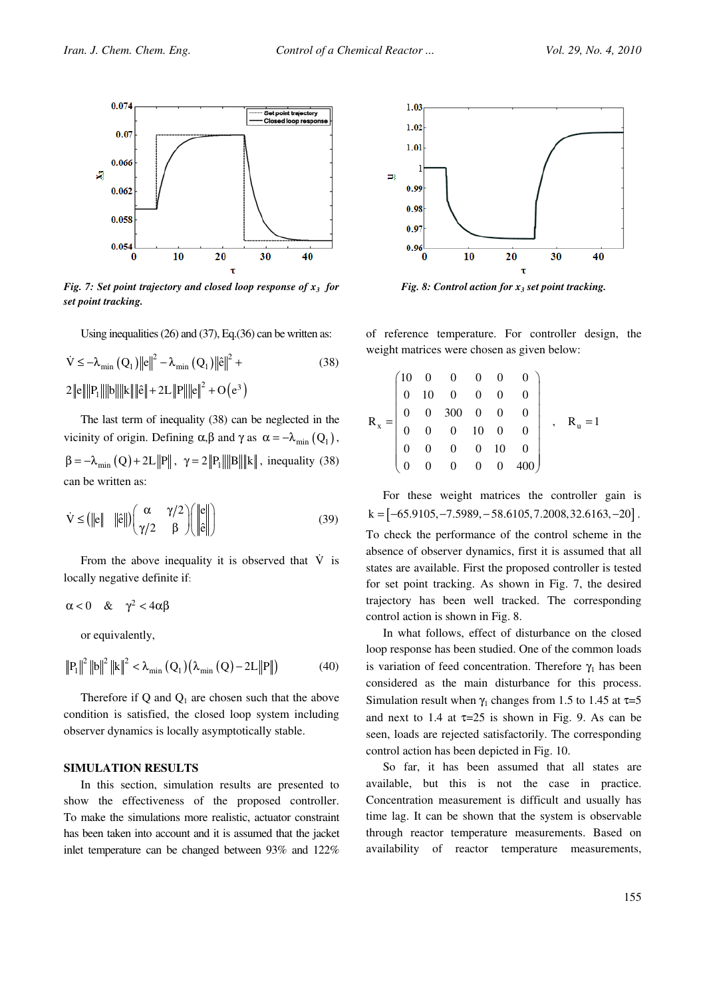

Fig. 7: Set point trajectory and closed loop response of  $x_3$  for set point tracking.

Using inequalities (26) and (37), Eq.(36) can be written as:

$$
\dot{V} \le -\lambda_{\min} (Q_1) \|e\|^2 - \lambda_{\min} (Q_1) \| \hat{e} \|^2 +
$$
\n
$$
2 \|e\| \|P_1\| \|b\| \|k\| \|\hat{e}\| + 2L \|P\| \|e\|^2 + O(e^3)
$$
\n(38)

The last term of inequality (38) can be neglected in the vicinity of origin. Defining  $\alpha, \beta$  and  $\gamma$  as  $\alpha = -\lambda_{\min} (Q_1)$ ,  $\beta = -\lambda_{\min} (Q) + 2L ||P||$ ,  $\gamma = 2 ||P_1|| ||B|| ||k||$ , inequality (38) can be written as:

$$
\dot{\mathbf{V}} \leq (||\mathbf{e}|| \quad ||\hat{\mathbf{e}}||) \begin{pmatrix} \alpha & \gamma/2 \\ \gamma/2 & \beta \end{pmatrix} \begin{pmatrix} ||\mathbf{e}|| \\ ||\hat{\mathbf{e}}|| \end{pmatrix}
$$
(39)

From the above inequality it is observed that  $\dot{V}$  is locally negative definite if:

$$
\alpha < 0 \quad \& \quad \gamma^2 < 4\alpha\beta
$$

or equivalently,

$$
\left\|P_1\right\|^2\left\|b\right\|^2\left\|k\right\|^2 < \lambda_{\min}\left(Q_1\right)\left(\lambda_{\min}\left(Q\right) - 2L\left\|P\right\|\right) \tag{40}
$$

Therefore if Q and  $Q_1$  are chosen such that the above condition is satisfied, the closed loop system including observer dynamics is locally asymptotically stable.

#### SIMULATION RESULTS

In this section, simulation results are presented to show the effectiveness of the proposed controller. To make the simulations more realistic, actuator constraint has been taken into account and it is assumed that the jacket inlet temperature can be changed between 93% and 122%



Fig. 8: Control action for  $x_3$  set point tracking.

of reference temperature. For controller design, the weight matrices were chosen as given below:

$$
R_x = \begin{pmatrix} 10 & 0 & 0 & 0 & 0 & 0 \\ 0 & 10 & 0 & 0 & 0 & 0 \\ 0 & 0 & 300 & 0 & 0 & 0 \\ 0 & 0 & 0 & 10 & 0 & 0 \\ 0 & 0 & 0 & 0 & 10 & 0 \\ 0 & 0 & 0 & 0 & 0 & 400 \end{pmatrix}, \quad R_u = 1
$$

For these weight matrices the controller gain is  $k = [-65.9105, -7.5989, -58.6105, 7.2008, 32.6163, -20]$ .

To check the performance of the control scheme in the absence of observer dynamics, first it is assumed that all states are available. First the proposed controller is tested for set point tracking. As shown in Fig. 7, the desired trajectory has been well tracked. The corresponding control action is shown in Fig. 8.

In what follows, effect of disturbance on the closed loop response has been studied. One of the common loads is variation of feed concentration. Therefore  $\gamma_1$  has been considered as the main disturbance for this process. Simulation result when  $\gamma_1$  changes from 1.5 to 1.45 at  $\tau=5$ and next to 1.4 at  $\tau=25$  is shown in Fig. 9. As can be seen, loads are rejected satisfactorily. The corresponding control action has been depicted in Fig. 10.

So far, it has been assumed that all states are available, but this is not the case in practice. Concentration measurement is difficult and usually has time lag. It can be shown that the system is observable through reactor temperature measurements. Based on availability of reactor temperature measurements,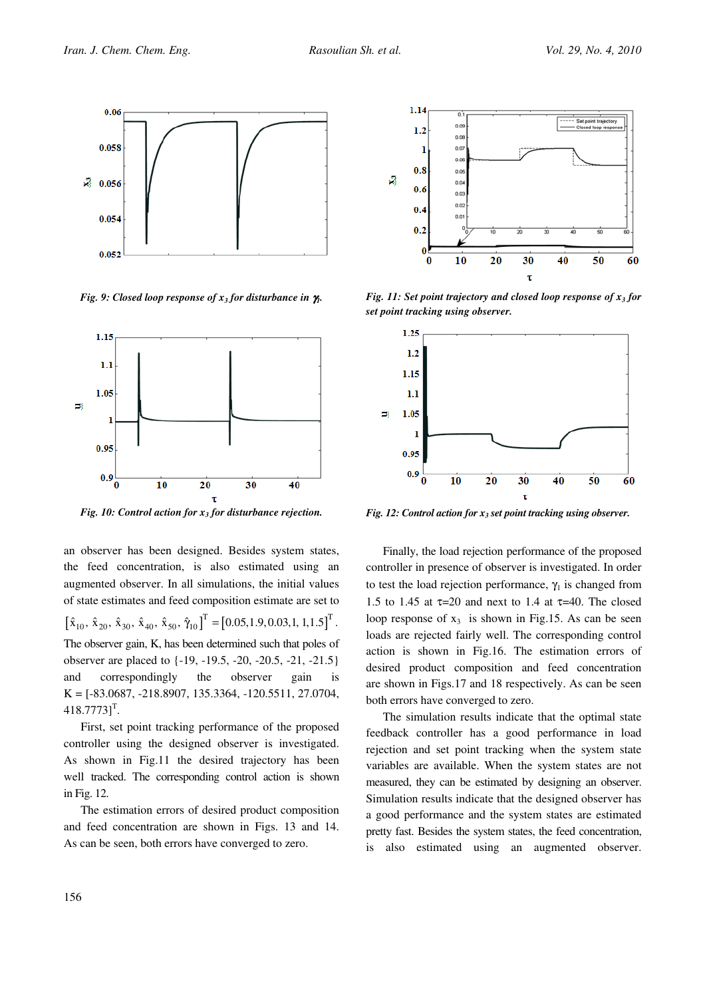

Fig. 9: Closed loop response of  $x_3$  for disturbance in  $\gamma$ .



Fig. 10: Control action for  $x_3$  for disturbance rejection.

an observer has been designed. Besides system states, the feed concentration, is also estimated using an augmented observer. In all simulations, the initial values of state estimates and feed composition estimate are set to  $[\hat{x}_{10}, \hat{x}_{20}, \hat{x}_{30}, \hat{x}_{40}, \hat{x}_{50}, \hat{\gamma}_{10}]^{T} = [0.05, 1.9, 0.03, 1, 1, 1.5]^{T}.$ The observer gain, K, has been determined such that poles of observer are placed to {-19, -19.5, -20, -20.5, -21, -21.5} and correspondingly the observer gain is  $K = [-83.0687, -218.8907, 135.3364, -120.5511, 27.0704,$  $418.7773$ ]<sup>T</sup>.

First, set point tracking performance of the proposed controller using the designed observer is investigated. As shown in Fig.11 the desired trajectory has been well tracked. The corresponding control action is shown in Fig. 12.

The estimation errors of desired product composition and feed concentration are shown in Figs. 13 and 14. As can be seen, both errors have converged to zero.



Fig. 11: Set point trajectory and closed loop response of  $x_3$  for set point tracking using observer.



Fig. 12: Control action for  $x_3$  set point tracking using observer.

Finally, the load rejection performance of the proposed controller in presence of observer is investigated. In order to test the load rejection performance,  $\gamma_1$  is changed from 1.5 to 1.45 at  $\tau$ =20 and next to 1.4 at  $\tau$ =40. The closed loop response of  $x_3$  is shown in Fig.15. As can be seen loads are rejected fairly well. The corresponding control action is shown in Fig.16. The estimation errors of desired product composition and feed concentration are shown in Figs.17 and 18 respectively. As can be seen both errors have converged to zero.

The simulation results indicate that the optimal state feedback controller has a good performance in load rejection and set point tracking when the system state variables are available. When the system states are not measured, they can be estimated by designing an observer. Simulation results indicate that the designed observer has a good performance and the system states are estimated pretty fast. Besides the system states, the feed concentration, is also estimated using an augmented observer.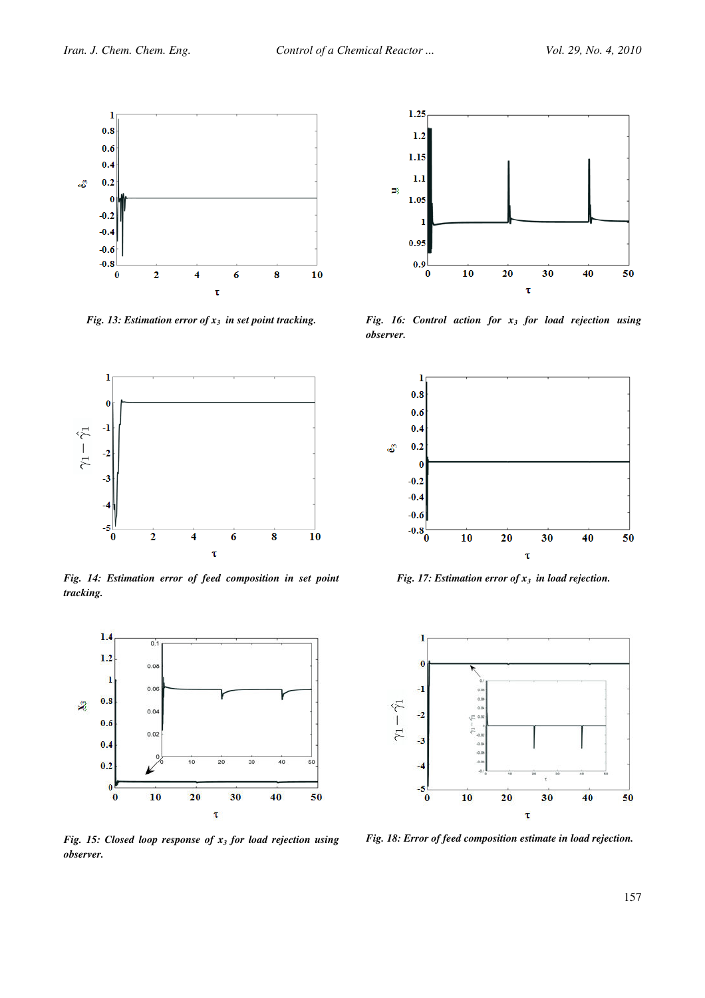

Fig. 13: Estimation error of  $x_3$  in set point tracking.



Fig. 14: Estimation error of feed composition in set point tracking.



Fig. 15: Closed loop response of  $x_3$  for load rejection using observer.



Fig. 16: Control action for  $x_3$  for load rejection using observer.



Fig. 17: Estimation error of  $x_3$  in load rejection.



Fig. 18: Error of feed composition estimate in load rejection.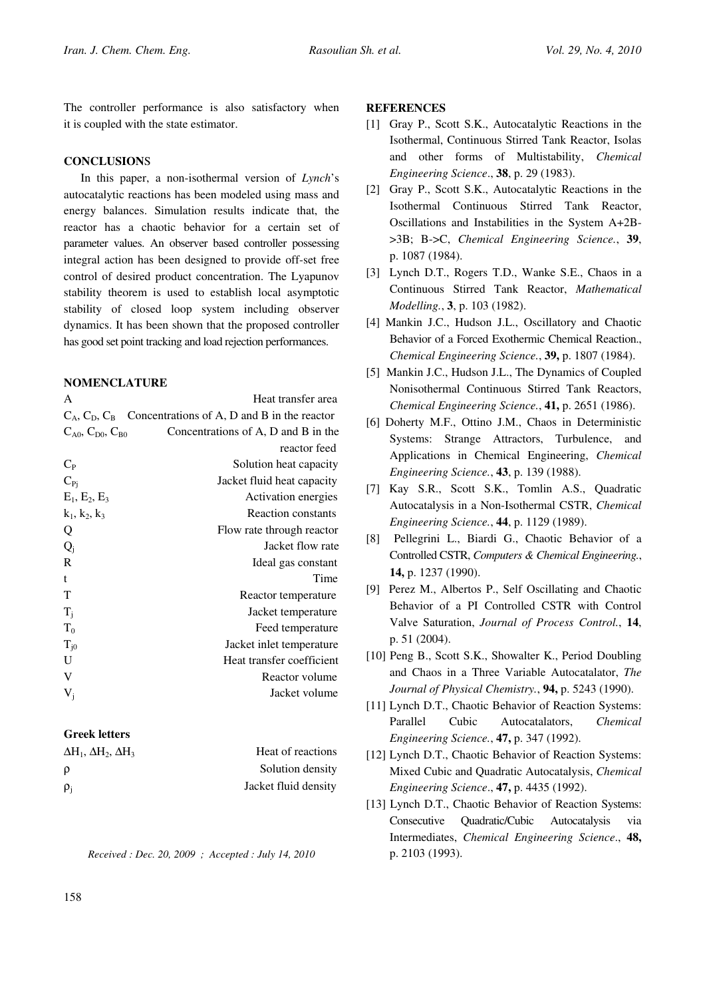The controller performance is also satisfactory when it is coupled with the state estimator.

## **CONCLUSIONS**

In this paper, a non-isothermal version of Lynch's autocatalytic reactions has been modeled using mass and energy balances. Simulation results indicate that, the reactor has a chaotic behavior for a certain set of parameter values. An observer based controller possessing integral action has been designed to provide off-set free control of desired product concentration. The Lyapunov stability theorem is used to establish local asymptotic stability of closed loop system including observer dynamics. It has been shown that the proposed controller has good set point tracking and load rejection performances.

## **NOMENCLATURE**

| A                              | Heat transfer area                                                |
|--------------------------------|-------------------------------------------------------------------|
|                                | $C_A$ , $C_D$ , $C_B$ Concentrations of A, D and B in the reactor |
| $C_{A0}$ , $C_{D0}$ , $C_{B0}$ | Concentrations of A, D and B in the                               |
|                                | reactor feed                                                      |
| $C_{P}$                        | Solution heat capacity                                            |
| $C_{Pi}$                       | Jacket fluid heat capacity                                        |
| $E_1, E_2, E_3$                | Activation energies                                               |
| $k_1, k_2, k_3$                | Reaction constants                                                |
| Q                              | Flow rate through reactor                                         |
| $Q_i$                          | Jacket flow rate                                                  |
| $\mathbb{R}$                   | Ideal gas constant                                                |
| t                              | Time                                                              |
| т                              | Reactor temperature                                               |
| $T_i$                          | Jacket temperature                                                |
| $T_0$                          | Feed temperature                                                  |
| $\rm T_{j0}$                   | Jacket inlet temperature                                          |
| U                              | Heat transfer coefficient                                         |
| V                              | Reactor volume                                                    |
| $V_i$                          | Jacket volume                                                     |
|                                |                                                                   |

# Greek letters

| $\Delta H_1$ , $\Delta H_2$ , $\Delta H_3$ | Heat of reactions    |
|--------------------------------------------|----------------------|
| ρ                                          | Solution density     |
| $\rho_i$                                   | Jacket fluid density |

Received : Dec. 20, 2009 ; Accepted : July 14, 2010

## **REFERENCES**

- [1] Gray P., Scott S.K., Autocatalytic Reactions in the Isothermal, Continuous Stirred Tank Reactor, Isolas and other forms of Multistability, Chemical Engineering Science., 38, p. 29 (1983).
- [2] Gray P., Scott S.K., Autocatalytic Reactions in the Isothermal Continuous Stirred Tank Reactor, Oscillations and Instabilities in the System A+2B- >3B; B->C, Chemical Engineering Science., 39, p. 1087 (1984).
- [3] Lynch D.T., Rogers T.D., Wanke S.E., Chaos in a Continuous Stirred Tank Reactor, Mathematical Modelling., 3, p. 103 (1982).
- [4] Mankin J.C., Hudson J.L., Oscillatory and Chaotic Behavior of a Forced Exothermic Chemical Reaction., Chemical Engineering Science., 39, p. 1807 (1984).
- [5] Mankin J.C., Hudson J.L., The Dynamics of Coupled Nonisothermal Continuous Stirred Tank Reactors, Chemical Engineering Science., 41, p. 2651 (1986).
- [6] Doherty M.F., Ottino J.M., Chaos in Deterministic Systems: Strange Attractors, Turbulence, and Applications in Chemical Engineering, Chemical Engineering Science., 43, p. 139 (1988).
- [7] Kay S.R., Scott S.K., Tomlin A.S., Quadratic Autocatalysis in a Non-Isothermal CSTR, Chemical Engineering Science., 44, p. 1129 (1989).
- [8] Pellegrini L., Biardi G., Chaotic Behavior of a Controlled CSTR, Computers & Chemical Engineering., 14, p. 1237 (1990).
- [9] Perez M., Albertos P., Self Oscillating and Chaotic Behavior of a PI Controlled CSTR with Control Valve Saturation, Journal of Process Control., 14, p. 51 (2004).
- [10] Peng B., Scott S.K., Showalter K., Period Doubling and Chaos in a Three Variable Autocatalator, The Journal of Physical Chemistry., 94, p. 5243 (1990).
- [11] Lynch D.T., Chaotic Behavior of Reaction Systems: Parallel Cubic Autocatalators, Chemical Engineering Science., 47, p. 347 (1992).
- [12] Lynch D.T., Chaotic Behavior of Reaction Systems: Mixed Cubic and Quadratic Autocatalysis, Chemical Engineering Science., 47, p. 4435 (1992).
- [13] Lynch D.T., Chaotic Behavior of Reaction Systems: Consecutive Quadratic/Cubic Autocatalysis via Intermediates, Chemical Engineering Science., 48, p. 2103 (1993).